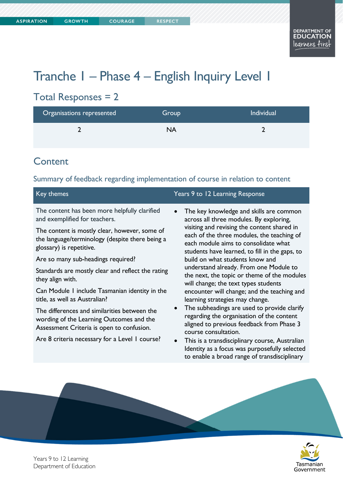Tasmanian Government

# Tranche 1 – Phase 4 – English Inquiry Level 1

### Total Responses = 2

| Organisations represented | Group | Individual |
|---------------------------|-------|------------|
|                           | NA    |            |

### **Content**

#### Summary of feedback regarding implementation of course in relation to content

| Key themes                                                                                                                            | Years 9 to 12 Learning Response                                                                                                                                                     |
|---------------------------------------------------------------------------------------------------------------------------------------|-------------------------------------------------------------------------------------------------------------------------------------------------------------------------------------|
| The content has been more helpfully clarified<br>and exemplified for teachers.                                                        | The key knowledge and skills are common<br>$\bullet$<br>across all three modules. By exploring,                                                                                     |
| The content is mostly clear, however, some of<br>the language/terminology (despite there being a<br>glossary) is repetitive.          | visiting and revising the content shared in<br>each of the three modules, the teaching of<br>each module aims to consolidate what<br>students have learned, to fill in the gaps, to |
| Are so many sub-headings required?                                                                                                    | build on what students know and                                                                                                                                                     |
| Standards are mostly clear and reflect the rating<br>they align with.                                                                 | understand already. From one Module to<br>the next, the topic or theme of the modules<br>will change; the text types students                                                       |
| Can Module I include Tasmanian identity in the<br>title, as well as Australian?                                                       | encounter will change; and the teaching and<br>learning strategies may change.                                                                                                      |
| The differences and similarities between the<br>wording of the Learning Outcomes and the<br>Assessment Criteria is open to confusion. | The subheadings are used to provide clarify<br>$\bullet$<br>regarding the organisation of the content<br>aligned to previous feedback from Phase 3<br>course consultation.          |

Are 8 criteria necessary for a Level 1 course?

 This is a transdisciplinary course, Australian Identity as a focus was purposefully selected to enable a broad range of transdisciplinary



Years 9 to 12 Learning Department of Education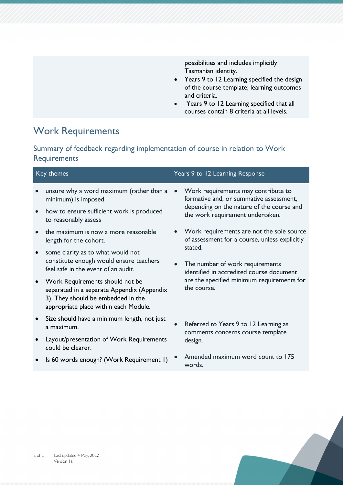possibilities and includes implicitly Tasmanian identity.

- Years 9 to 12 Learning specified the design of the course template; learning outcomes and criteria.
- Years 9 to 12 Learning specified that all courses contain 8 criteria at all levels.

### Work Requirements

Summary of feedback regarding implementation of course in relation to Work **Requirements** 

| Key themes |                                                                                                                                                              | Years 9 to 12 Learning Response |                                                                                              |  |
|------------|--------------------------------------------------------------------------------------------------------------------------------------------------------------|---------------------------------|----------------------------------------------------------------------------------------------|--|
|            | unsure why a word maximum (rather than a<br>minimum) is imposed                                                                                              | $\bullet$                       | Work requirements may contribute to<br>formative and, or summative assessment,               |  |
| $\bullet$  | how to ensure sufficient work is produced<br>to reasonably assess                                                                                            |                                 | depending on the nature of the course and<br>the work requirement undertaken.                |  |
|            | the maximum is now a more reasonable<br>length for the cohort.                                                                                               |                                 | • Work requirements are not the sole source<br>of assessment for a course, unless explicitly |  |
| $\bullet$  | some clarity as to what would not<br>constitute enough would ensure teachers<br>feel safe in the event of an audit.                                          |                                 | stated.<br>The number of work requirements<br>identified in accredited course document       |  |
| $\bullet$  | Work Requirements should not be<br>separated in a separate Appendix (Appendix<br>3). They should be embedded in the<br>appropriate place within each Module. |                                 | are the specified minimum requirements for<br>the course.                                    |  |
| $\bullet$  | Size should have a minimum length, not just<br>a maximum.                                                                                                    |                                 | Referred to Years 9 to 12 Learning as<br>comments concerns course template<br>design.        |  |
| $\bullet$  | Layout/presentation of Work Requirements<br>could be clearer.                                                                                                |                                 |                                                                                              |  |
|            | Is 60 words enough? (Work Requirement I)                                                                                                                     |                                 | Amended maximum word count to 175                                                            |  |

words.